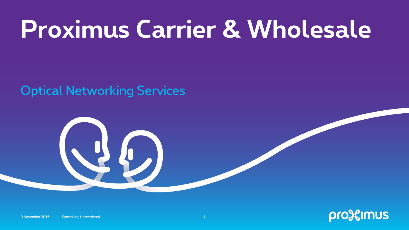## **Proximus Carrier & Wholesale**

Optical Networking Services



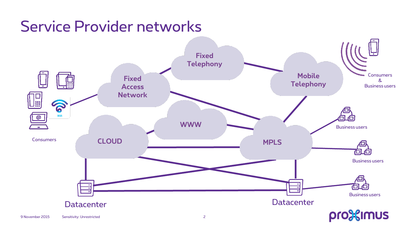#### Service Provider networks

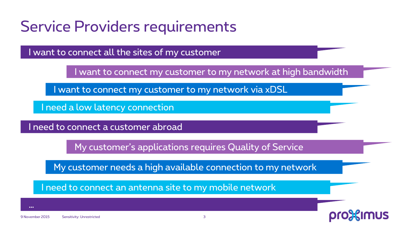#### Service Providers requirements

I want to connect all the sites of my customer

I want to connect my customer to my network at high bandwidth

I want to connect my customer to my network via xDSL

I need a low latency connection

I need to connect a customer abroad

My customer's applications requires Quality of Service

My customer needs a high available connection to my network

I need to connect an antenna site to my mobile network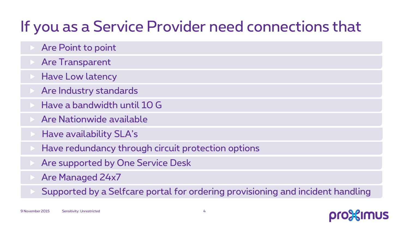### If you as a Service Provider need connections that

- Are Point to point
- Are Transparent
- Have Low latency
- Are Industry standards
- Have a bandwidth until 10 G
- Are Nationwide available
- Have availability SLA's
- Have redundancy through circuit protection options
- Are supported by One Service Desk
- Are Managed 24x7
- Supported by a Selfcare portal for ordering provisioning and incident handling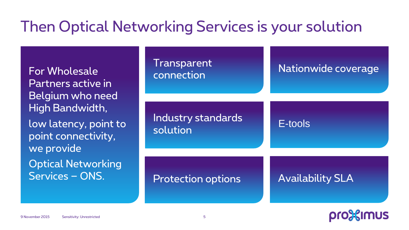### Then Optical Networking Services is your solution

For Wholesale Partners active in Belgium who need High Bandwidth,

low latency, point to point connectivity, we provide Optical Networking Services – ONS.

| <b>Transparent</b><br>connection | Nationwide coverage     |
|----------------------------------|-------------------------|
| Industry standards<br>solution   | E-tools                 |
| <b>Protection options</b>        | <b>Availability SLA</b> |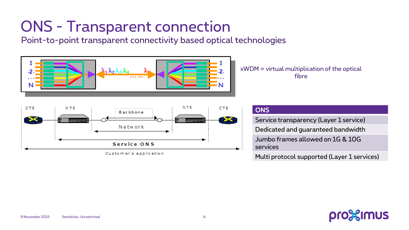## ONS - Transparent connection

Point-to-point transparent connectivity based optical technologies



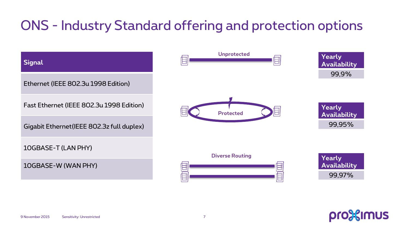#### ONS - Industry Standard offering and protection options